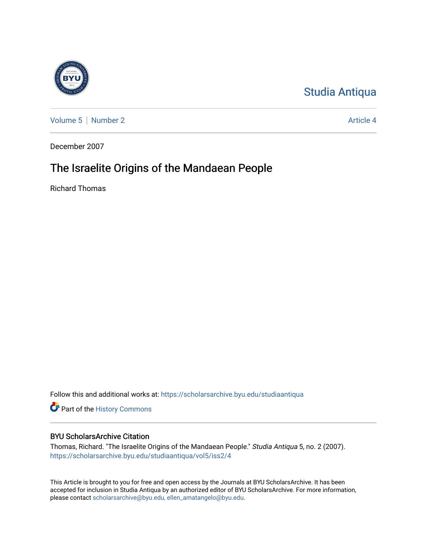

[Studia Antiqua](https://scholarsarchive.byu.edu/studiaantiqua) 

[Volume 5](https://scholarsarchive.byu.edu/studiaantiqua/vol5) | [Number 2](https://scholarsarchive.byu.edu/studiaantiqua/vol5/iss2) Article 4

December 2007

# The Israelite Origins of the Mandaean People

Richard Thomas

Follow this and additional works at: [https://scholarsarchive.byu.edu/studiaantiqua](https://scholarsarchive.byu.edu/studiaantiqua?utm_source=scholarsarchive.byu.edu%2Fstudiaantiqua%2Fvol5%2Fiss2%2F4&utm_medium=PDF&utm_campaign=PDFCoverPages) 

Part of the [History Commons](http://network.bepress.com/hgg/discipline/489?utm_source=scholarsarchive.byu.edu%2Fstudiaantiqua%2Fvol5%2Fiss2%2F4&utm_medium=PDF&utm_campaign=PDFCoverPages) 

### BYU ScholarsArchive Citation

Thomas, Richard. "The Israelite Origins of the Mandaean People." Studia Antiqua 5, no. 2 (2007). [https://scholarsarchive.byu.edu/studiaantiqua/vol5/iss2/4](https://scholarsarchive.byu.edu/studiaantiqua/vol5/iss2/4?utm_source=scholarsarchive.byu.edu%2Fstudiaantiqua%2Fvol5%2Fiss2%2F4&utm_medium=PDF&utm_campaign=PDFCoverPages) 

This Article is brought to you for free and open access by the Journals at BYU ScholarsArchive. It has been accepted for inclusion in Studia Antiqua by an authorized editor of BYU ScholarsArchive. For more information, please contact [scholarsarchive@byu.edu, ellen\\_amatangelo@byu.edu.](mailto:scholarsarchive@byu.edu,%20ellen_amatangelo@byu.edu)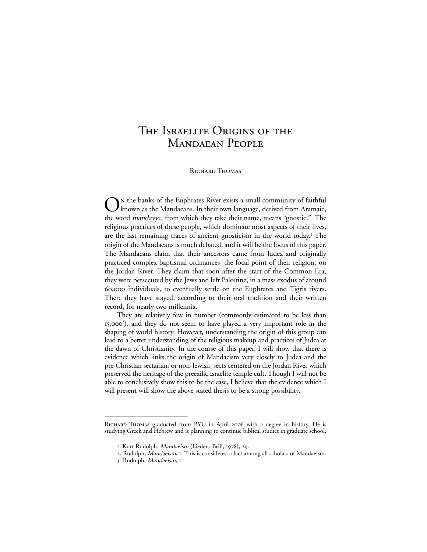## The Israelite Origins of the Mandaean People

Richard Thomas

ON the banks of the Euphrates River exists a small community of faithful<br>known as the Mandaeans. In their own language, derived from Aramaic, the word mandayye, from which they take their name, means "gnostic."<sup>1</sup> The religious practices of these people, which dominate most aspects of their lives, are the last remaining traces of ancient gnosticism in the world today.<sup>2</sup> The origin of the Mandaeans is much debated, and it will be the focus of this paper. The Mandaeans claim that their ancestors came from Judea and originally practiced complex baptismal ordinances, the focal point of their religion, on the Jordan River. They claim that soon after the start of the Common Era, they were persecuted by the Jews and left Palestine, in a mass exodus of around 60,000 individuals, to eventually settle on the Euphrates and Tigris rivers. There they have stayed, according to their oral tradition and their written record, for nearly two millennia.

They are relatively few in number (commonly estimated to be less than 15,000<sup>3</sup> ), and they do not seem to have played a very important role in the shaping of world history. However, understanding the origin of this group can lead to a better understanding of the religious makeup and practices of Judea at the dawn of Christianity. In the course of this paper, I will show that there is evidence which links the origin of Mandaeism very closely to Judea and the pre-Christian sectarian, or non-Jewish, sects centered on the Jordan River which preserved the heritage of the preexilic Israelite temple cult. Though I will not be able to conclusively show this to be the case, I believe that the evidence which I will present will show the above stated thesis to be a strong possibility.

Richard Thomas graduated from BYU in April 2006 with a degree in history. He is studying Greek and Hebrew and is planning to continue biblical studies in graduate school.

<sup>1</sup>. Kurt Rudolph, Mandaeism (Lieden: Brill, 1978), 29.

<sup>2</sup>. Rudolph, Mandaeism, 1. This is considered a fact among all scholars of Mandaeism.

<sup>3</sup>. Rudolph, Mandaeism, 1.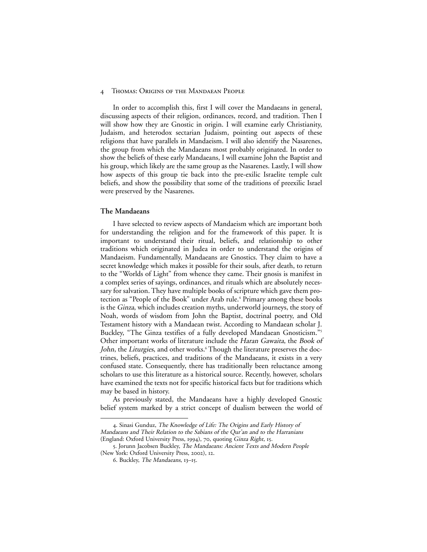In order to accomplish this, first I will cover the Mandaeans in general, discussing aspects of their religion, ordinances, record, and tradition. Then I will show how they are Gnostic in origin. I will examine early Christianity, Judaism, and heterodox sectarian Judaism, pointing out aspects of these religions that have parallels in Mandaeism. I will also identify the Nasarenes, the group from which the Mandaeans most probably originated. In order to show the beliefs of these early Mandaeans, I will examine John the Baptist and his group, which likely are the same group as the Nasarenes. Lastly, I will show how aspects of this group tie back into the pre-exilic Israelite temple cult beliefs, and show the possibility that some of the traditions of preexilic Israel were preserved by the Nasarenes.

#### **The Mandaeans**

I have selected to review aspects of Mandaeism which are important both for understanding the religion and for the framework of this paper. It is important to understand their ritual, beliefs, and relationship to other traditions which originated in Judea in order to understand the origins of Mandaeism. Fundamentally, Mandaeans are Gnostics. They claim to have a secret knowledge which makes it possible for their souls, after death, to return to the "Worlds of Light" from whence they came. Their gnosis is manifest in a complex series of sayings, ordinances, and rituals which are absolutely necessary for salvation. They have multiple books of scripture which gave them protection as "People of the Book" under Arab rule.<sup>4</sup> Primary among these books is the Ginza, which includes creation myths, underworld journeys, the story of Noah, words of wisdom from John the Baptist, doctrinal poetry, and Old Testament history with a Mandaean twist. According to Mandaean scholar J. Buckley, "The Ginza testifies of a fully developed Mandaean Gnosticism."<sup>5</sup> Other important works of literature include the Haran Gawaita, the Book of John, the Liturgies, and other works.<sup>6</sup> Though the literature preserves the doctrines, beliefs, practices, and traditions of the Mandaeans, it exists in a very confused state. Consequently, there has traditionally been reluctance among scholars to use this literature as a historical source. Recently, however, scholars have examined the texts not for specific historical facts but for traditions which may be based in history.

As previously stated, the Mandaeans have a highly developed Gnostic belief system marked by a strict concept of dualism between the world of

<sup>4</sup>. Sinasi Gunduz, The Knowledge of Life: The Origins and Early History of Mandaeans and Their Relation to the Sabians of the Qur'an and to the Harranians (England: Oxford University Press, 1994), 70, quoting Ginza Right, 15.

<sup>5</sup>. Jorunn Jacobsen Buckley, The Mandaeans: Ancient Texts and Modern People (New York: Oxford University Press, 2002), 12.

<sup>6</sup>. Buckley, The Mandaeans, 13–15.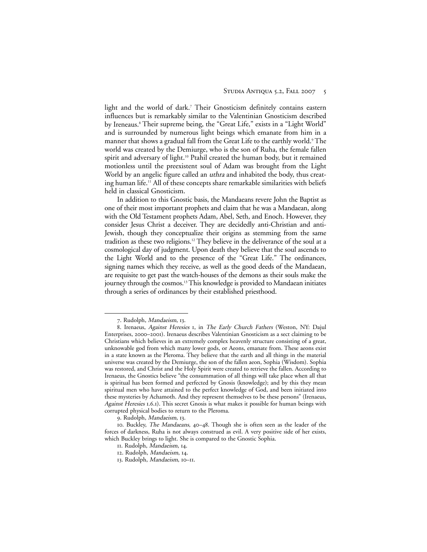light and the world of dark.<sup>7</sup> Their Gnosticism definitely contains eastern influences but is remarkably similar to the Valentinian Gnosticism described by Ireneaus.<sup>8</sup> Their supreme being, the "Great Life," exists in a "Light World" and is surrounded by numerous light beings which emanate from him in a manner that shows a gradual fall from the Great Life to the earthly world.<sup>9</sup> The world was created by the Demiurge, who is the son of Ruha, the female fallen spirit and adversary of light.<sup>10</sup> Ptahil created the human body, but it remained motionless until the preexistent soul of Adam was brought from the Light World by an angelic figure called an uthra and inhabited the body, thus creating human life.11 All of these concepts share remarkable similarities with beliefs held in classical Gnosticism.

In addition to this Gnostic basis, the Mandaeans revere John the Baptist as one of their most important prophets and claim that he was a Mandaean, along with the Old Testament prophets Adam, Abel, Seth, and Enoch. However, they consider Jesus Christ a deceiver. They are decidedly anti-Christian and anti-Jewish, though they conceptualize their origins as stemming from the same tradition as these two religions.12 They believe in the deliverance of the soul at a cosmological day of judgment. Upon death they believe that the soul ascends to the Light World and to the presence of the "Great Life." The ordinances, signing names which they receive, as well as the good deeds of the Mandaean, are requisite to get past the watch-houses of the demons as their souls make the journey through the cosmos.<sup>13</sup> This knowledge is provided to Mandaean initiates through a series of ordinances by their established priesthood.

<sup>7</sup>. Rudolph, Mandaeism, 13.

<sup>8</sup>. Irenaeus, Against Heresies 1, in The Early Church Fathers (Weston, NY: Dajul Enterprises, 2000–2001). Irenaeus describes Valentinian Gnosticism as a sect claiming to be Christians which believes in an extremely complex heavenly structure consisting of a great, unknowable god from which many lower gods, or Aeons, emanate from. These aeons exist in a state known as the Pleroma. They believe that the earth and all things in the material universe was created by the Demiurge, the son of the fallen aeon, Sophia (Wisdom). Sophia was restored, and Christ and the Holy Spirit were created to retrieve the fallen. According to Irenaeus, the Gnostics believe "the consummation of all things will take place when all that is spiritual has been formed and perfected by Gnosis (knowledge); and by this they mean spiritual men who have attained to the perfect knowledge of God, and been initiated into these mysteries by Achamoth. And they represent themselves to be these persons" (Irenaeus, Against Heresies 1.6.1). This secret Gnosis is what makes it possible for human beings with corrupted physical bodies to return to the Pleroma.

<sup>9</sup>. Rudolph, Mandaeism, 13.

<sup>10</sup>. Buckley, The Mandaeans, 40–48. Though she is often seen as the leader of the forces of darkness, Ruha is not always construed as evil. A very positive side of her exists, which Buckley brings to light. She is compared to the Gnostic Sophia.

<sup>11</sup>. Rudolph, Mandaeism, 14.

<sup>12</sup>. Rudolph, Mandaeism, 14.

<sup>13</sup>. Rudolph, Mandaeism, 10–11.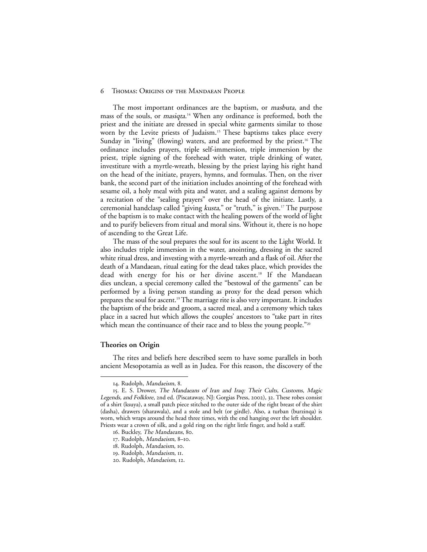The most important ordinances are the baptism, or masbuta, and the mass of the souls, or masiqta. <sup>14</sup> When any ordinance is preformed, both the priest and the initiate are dressed in special white garments similar to those worn by the Levite priests of Judaism.<sup>15</sup> These baptisms takes place every Sunday in "living" (flowing) waters, and are preformed by the priest.<sup>16</sup> The ordinance includes prayers, triple self-immersion, triple immersion by the priest, triple signing of the forehead with water, triple drinking of water, investiture with a myrtle-wreath, blessing by the priest laying his right hand on the head of the initiate, prayers, hymns, and formulas. Then, on the river bank, the second part of the initiation includes anointing of the forehead with sesame oil, a holy meal with pita and water, and a sealing against demons by a recitation of the "sealing prayers" over the head of the initiate. Lastly, a ceremonial handclasp called "giving kusta," or "truth," is given.<sup>17</sup> The purpose of the baptism is to make contact with the healing powers of the world of light and to purify believers from ritual and moral sins. Without it, there is no hope of ascending to the Great Life.

The mass of the soul prepares the soul for its ascent to the Light World. It also includes triple immersion in the water, anointing, dressing in the sacred white ritual dress, and investing with a myrtle-wreath and a flask of oil. After the death of a Mandaean, ritual eating for the dead takes place, which provides the dead with energy for his or her divine ascent.18 If the Mandaean dies unclean, a special ceremony called the "bestowal of the garments" can be performed by a living person standing as proxy for the dead person which prepares the soul for ascent.19The marriage rite is also very important. It includes the baptism of the bride and groom, a sacred meal, and a ceremony which takes place in a sacred hut which allows the couples' ancestors to "take part in rites which mean the continuance of their race and to bless the young people."<sup>20</sup>

#### **Theories on Origin**

The rites and beliefs here described seem to have some parallels in both ancient Mesopotamia as well as in Judea. For this reason, the discovery of the

<sup>14</sup>. Rudolph, Mandaeism, 8.

<sup>15</sup>. E. S. Drower, The Mandaeans of Iran and Iraq: Their Cults, Customs, Magic Legends, and Folklore, 2nd ed. (Piscataway, NJ: Gorgias Press, 2002), 32. These robes consist of a shirt (ksuya), a small patch piece stitched to the outer side of the right breast of the shirt (dasha), drawers (sharawala), and a stole and belt (or girdle). Also, a turban (burzinqa) is worn, which wraps around the head three times, with the end hanging over the left shoulder. Priests wear a crown of silk, and a gold ring on the right little finger, and hold a staff.

<sup>16</sup>. Buckley, The Mandaeans, 80.

<sup>17</sup>. Rudolph, Mandaeism, 8–10.

<sup>18.</sup> Rudolph, Mandaeism, 10.

<sup>19</sup>. Rudolph, Mandaeism, 11.

<sup>20</sup>. Rudolph, Mandaeism, 12.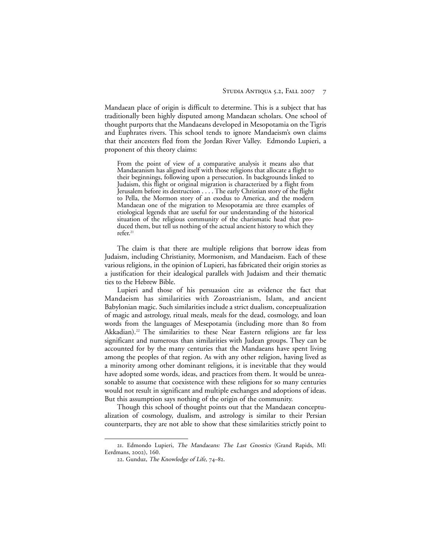Mandaean place of origin is difficult to determine. This is a subject that has traditionally been highly disputed among Mandaean scholars. One school of thought purports that the Mandaeans developed in Mesopotamia on the Tigris and Euphrates rivers. This school tends to ignore Mandaeism's own claims that their ancesters fled from the Jordan River Valley. Edmondo Lupieri, a proponent of this theory claims:

From the point of view of a comparative analysis it means also that Mandaeanism has aligned itself with those religions that allocate a flight to their beginnings, following upon a persecution. In backgrounds linked to Judaism, this flight or original migration is characterized by a flight from Jerusalem before its destruction . . . . The early Christian story of the flight to Pella, the Mormon story of an exodus to America, and the modern Mandaean one of the migration to Mesopotamia are three examples of etiological legends that are useful for our understanding of the historical situation of the religious community of the charismatic head that produced them, but tell us nothing of the actual ancient history to which they refer.<sup>21</sup>

The claim is that there are multiple religions that borrow ideas from Judaism, including Christianity, Mormonism, and Mandaeism. Each of these various religions, in the opinion of Lupieri, has fabricated their origin stories as a justification for their idealogical parallels with Judaism and their thematic ties to the Hebrew Bible.

Lupieri and those of his persuasion cite as evidence the fact that Mandaeism has similarities with Zoroastrianism, Islam, and ancient Babylonian magic. Such similarities include a strict dualism, conceptualization of magic and astrology, ritual meals, meals for the dead, cosmology, and loan words from the languages of Mesepotamia (including more than 80 from Akkadian).<sup>22</sup> The similarities to these Near Eastern religions are far less significant and numerous than similarities with Judean groups. They can be accounted for by the many centuries that the Mandaeans have spent living among the peoples of that region. As with any other religion, having lived as a minority among other dominant religions, it is inevitable that they would have adopted some words, ideas, and practices from them. It would be unreasonable to assume that coexistence with these religions for so many centuries would not result in significant and multiple exchanges and adoptions of ideas. But this assumption says nothing of the origin of the community.

Though this school of thought points out that the Mandaean conceptualization of cosmology, dualism, and astrology is similar to their Persian counterparts, they are not able to show that these similarities strictly point to

<sup>21</sup>. Edmondo Lupieri, The Mandaeans: The Last Gnostics (Grand Rapids, MI: Eerdmans, 2002), 160.

<sup>22</sup>. Gunduz, The Knowledge of Life, 74–82.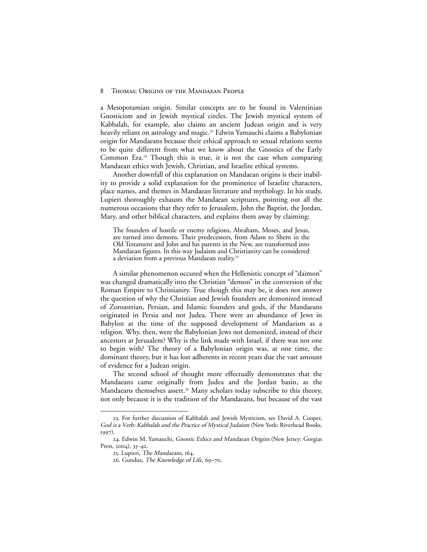a Mesopotamian origin. Similar concepts are to be found in Valentinian Gnosticism and in Jewish mystical circles. The Jewish mystical system of Kabbalah, for example, also claims an ancient Judean origin and is very heavily reliant on astrology and magic.<sup>23</sup> Edwin Yamauchi claims a Babylonian origin for Mandaeans because their ethical approach to sexual relations seems to be quite different from what we know about the Gnostics of the Early Common Era.<sup>24</sup> Though this is true, it is not the case when comparing Mandaean ethics with Jewish, Christian, and Israelite ethical systems.

Another downfall of this explanation on Mandaean origins is their inability to provide a solid explanation for the prominence of Israelite characters, place names, and themes in Mandaean literature and mythology. In his study, Lupieri thoroughly exhausts the Mandaean scriptures, pointing out all the numerous occasions that they refer to Jerusalem, John the Baptist, the Jordan, Mary, and other biblical characters, and explains them away by claiming:

The founders of hostile or enemy religions, Abraham, Moses, and Jesus, are turned into demons. Their predecessors, from Adam to Shem in the Old Testament and John and his parents in the New, are transformed into Mandaean figures. In this way Judaism and Christianity can be considered a deviation from a previous Mandaean reality.25

A similar phenomenon occured when the Hellenistic concept of "daimon" was changed dramatically into the Christian "demon" in the conversion of the Roman Empire to Christianity. True though this may be, it does not answer the question of why the Christian and Jewish founders are demonized instead of Zoroastrian, Persian, and Islamic founders and gods, if the Mandaeans originated in Persia and not Judea. There were an abundance of Jews in Babylon at the time of the supposed development of Mandaeism as a religion. Why, then, were the Babylonian Jews not demonized, instead of their ancestors at Jerusalem? Why is the link made with Israel, if there was not one to begin with? The theory of a Babylonian origin was, at one time, the dominant theory, but it has lost adherents in recent years due the vast amount of evidence for a Judean origin.

The second school of thought more effectually demonstrates that the Mandaeans came originally from Judea and the Jordan basin, as the Mandaeans themselves assert.<sup>26</sup> Many scholars today subscribe to this theory, not only because it is the tradition of the Mandaeans, but because of the vast

<sup>23</sup>. For further discussion of Kabbalah and Jewish Mysticism, see David A. Cooper, God is a Verb: Kabbalah and the Practice of Mystical Judaism (New York: Riverhead Books, 1997).

<sup>24</sup>. Edwin M. Yamauchi, Gnostic Ethics and Mandaean Origins (New Jersey: Gorgias Press, 2004), 35–42.

<sup>25.</sup> Lupieri, The Mandaeans, 164.

<sup>26</sup>. Gunduz, The Knowledge of Life, 69–70.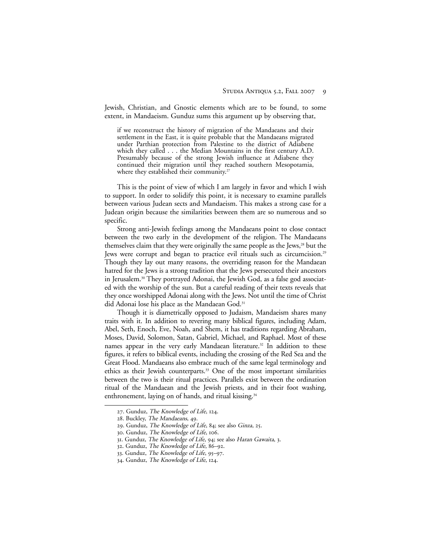Jewish, Christian, and Gnostic elements which are to be found, to some extent, in Mandaeism. Gunduz sums this argument up by observing that,

if we reconstruct the history of migration of the Mandaeans and their settlement in the East, it is quite probable that the Mandaeans migrated under Parthian protection from Palestine to the district of Adiabene which they called . . . the Median Mountains in the first century A.D. Presumably because of the strong Jewish influence at Adiabene they continued their migration until they reached southern Mesopotamia, where they established their community.<sup>27</sup>

This is the point of view of which I am largely in favor and which I wish to support. In order to solidify this point, it is necessary to examine parallels between various Judean sects and Mandaeism. This makes a strong case for a Judean origin because the similarities between them are so numerous and so specific.

Strong anti-Jewish feelings among the Mandaeans point to close contact between the two early in the development of the religion. The Mandaeans themselves claim that they were originally the same people as the Jews,<sup>28</sup> but the Jews were corrupt and began to practice evil rituals such as circumcision.<sup>29</sup> Though they lay out many reasons, the overriding reason for the Mandaean hatred for the Jews is a strong tradition that the Jews persecuted their ancestors in Jerusalem.30 They portrayed Adonai, the Jewish God, as a false god associated with the worship of the sun. But a careful reading of their texts reveals that they once worshipped Adonai along with the Jews. Not until the time of Christ did Adonai lose his place as the Mandaean God.<sup>31</sup>

Though it is diametrically opposed to Judaism, Mandaeism shares many traits with it. In addition to revering many biblical figures, including Adam, Abel, Seth, Enoch, Eve, Noah, and Shem, it has traditions regarding Abraham, Moses, David, Solomon, Satan, Gabriel, Michael, and Raphael. Most of these names appear in the very early Mandaean literature.<sup>32</sup> In addition to these figures, it refers to biblical events, including the crossing of the Red Sea and the Great Flood. Mandaeans also embrace much of the same legal terminology and ethics as their Jewish counterparts.33 One of the most important similarities between the two is their ritual practices. Parallels exist between the ordination ritual of the Mandaean and the Jewish priests, and in their foot washing, enthronement, laying on of hands, and ritual kissing.<sup>34</sup>

<sup>27.</sup> Gunduz, The Knowledge of Life, 124.

<sup>28.</sup> Buckley, The Mandaeans, 49.

<sup>29.</sup> Gunduz, The Knowledge of Life, 84; see also Ginza, 25.

<sup>30.</sup> Gunduz, The Knowledge of Life, 106.

<sup>31.</sup> Gunduz, The Knowledge of Life, 94; see also Haran Gawaita, 3.

<sup>32.</sup> Gunduz, The Knowledge of Life, 86–92.

<sup>33.</sup> Gunduz, The Knowledge of Life, 95–97.

<sup>34.</sup> Gunduz, The Knowledge of Life, 124.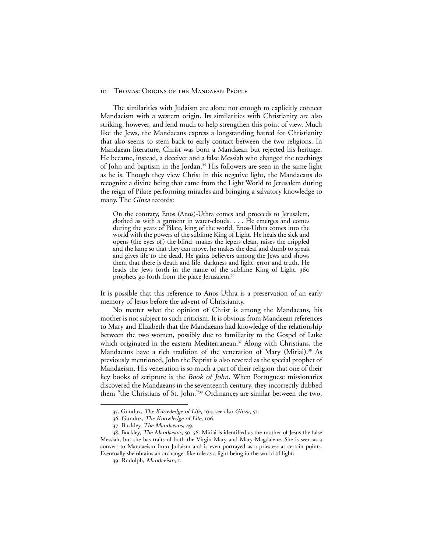The similarities with Judaism are alone not enough to explicitly connect Mandaeism with a western origin. Its similarities with Christianity are also striking, however, and lend much to help strengthen this point of view. Much like the Jews, the Mandaeans express a longstanding hatred for Christianity that also seems to stem back to early contact between the two religions. In Mandaean literature, Christ was born a Mandaean but rejected his heritage. He became, instead, a deceiver and a false Messiah who changed the teachings of John and baptism in the Jordan.<sup>35</sup> His followers are seen in the same light as he is. Though they view Christ in this negative light, the Mandaeans do recognize a divine being that came from the Light World to Jerusalem during the reign of Pilate performing miracles and bringing a salvatory knowledge to many. The Ginza records:

On the contrary, Enos (Anos)-Uthra comes and proceeds to Jerusalem, clothed as with a garment in water-clouds. . . . He emerges and comes during the years of Pilate, king of the world. Enos-Uthra comes into the world with the powers of the sublime King of Light. He heals the sick and opens (the eyes of) the blind, makes the lepers clean, raises the crippled and the lame so that they can move, he makes the deaf and dumb to speak and gives life to the dead. He gains believers among the Jews and shows them that there is death and life, darkness and light, error and truth. He leads the Jews forth in the name of the sublime King of Light. 360 prophets go forth from the place Jerusalem.<sup>36</sup>

It is possible that this reference to Anos-Uthra is a preservation of an early memory of Jesus before the advent of Christianity.

No matter what the opinion of Christ is among the Mandaeans, his mother is not subject to such criticism. It is obvious from Mandaean references to Mary and Elizabeth that the Mandaeans had knowledge of the relationship between the two women, possibly due to familiarity to the Gospel of Luke which originated in the eastern Mediterranean.<sup>37</sup> Along with Christians, the Mandaeans have a rich tradition of the veneration of Mary (Miriai).<sup>38</sup> As previously mentioned, John the Baptist is also revered as the special prophet of Mandaeism. His veneration is so much a part of their religion that one of their key books of scripture is the Book of John. When Portuguese missionaries discovered the Mandaeans in the seventeenth century, they incorrectly dubbed them "the Christians of St. John."39 Ordinances are similar between the two,

<sup>35</sup>. Gunduz, The Knowledge of Life, 104; see also Ginza, 51.

<sup>36</sup>. Gunduz, The Knowledge of Life, 106.

<sup>37</sup>. Buckley, The Mandaeans, 49.

<sup>38</sup>. Buckley, The Mandaeans, 50–56. Miriai is identified as the mother of Jesus the false Messiah, but she has traits of both the Virgin Mary and Mary Magdalene. She is seen as a convert to Mandaeism from Judaism and is even portrayed as a priestess at certain points. Eventually she obtains an archangel-like role as a light being in the world of light.

<sup>39.</sup> Rudolph, Mandaeism, 1.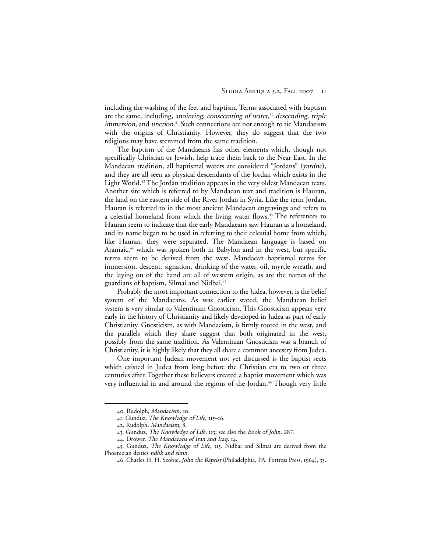including the washing of the feet and baptism. Terms associated with baptism are the same, including, anointing, consecrating of water, <sup>40</sup> descending, triple immersion, and unction.<sup>41</sup> Such connections are not enough to tie Mandaeism with the origins of Christianity. However, they do suggest that the two religions may have stemmed from the same tradition.

The baptism of the Mandaeans has other elements which, though not specifically Christian or Jewish, help trace them back to the Near East. In the Mandaean tradition, all baptismal waters are considered "Jordans" (yardne), and they are all seen as physical descendants of the Jordan which exists in the Light World.<sup>42</sup> The Jordan tradition appears in the very oldest Mandaean texts. Another site which is referred to by Mandaean text and tradition is Hauran, the land on the eastern side of the River Jordan in Syria. Like the term Jordan, Hauran is referred to in the most ancient Mandaean engravings and refers to a celestial homeland from which the living water flows.<sup>43</sup> The references to Hauran seem to indicate that the early Mandaeans saw Hauran as a homeland, and its name began to be used in referring to their celestial home from which, like Hauran, they were separated. The Mandaean language is based on Aramaic,<sup>44</sup> which was spoken both in Babylon and in the west, but specific terms seem to be derived from the west. Mandaean baptismal terms for immersion, descent, signation, drinking of the water, oil, myrtle wreath, and the laying on of the hand are all of western origin, as are the names of the guardians of baptism, Silmai and Nidbai.45

Probably the most important connection to the Judea, however, is the belief system of the Mandaeans. As was earlier stated, the Mandaean belief system is very similar to Valentinian Gnosticism. This Gnosticism appears very early in the history of Christianity and likely developed in Judea as part of early Christianity. Gnosticism, as with Mandaeism, is firmly rooted in the west, and the parallels which they share suggest that both originated in the west, possibly from the same tradition. As Valentinian Gnosticism was a branch of Christianity, it is highly likely that they all share a common ancestry from Judea.

One important Judean movement not yet discussed is the baptist sects which existed in Judea from long before the Christian era to two or three centuries after. Together these believers created a baptist movement which was very influential in and around the regions of the Jordan.<sup>46</sup> Though very little

<sup>40</sup>. Rudolph, Mandaeism, 10.

<sup>41</sup>. Gunduz, The Knowledge of Life, 115–16.

<sup>42</sup>. Rudolph, Mandaeism, 8.

<sup>43</sup>. Gunduz, The Knowledge of Life, 113; see also the Book of John, 287.

<sup>44</sup>. Drower, The Mandaeans of Iran and Iraq, 14.

<sup>45</sup>. Gunduz, The Knowledge of Life, 115. Nidbai and Silmai are derived from the Phoenician deities ndbk and slmn.

<sup>46</sup>. Charles H. H. Scobie, John the Baptist (Philadelphia, PA: Fortress Press, 1964), 33.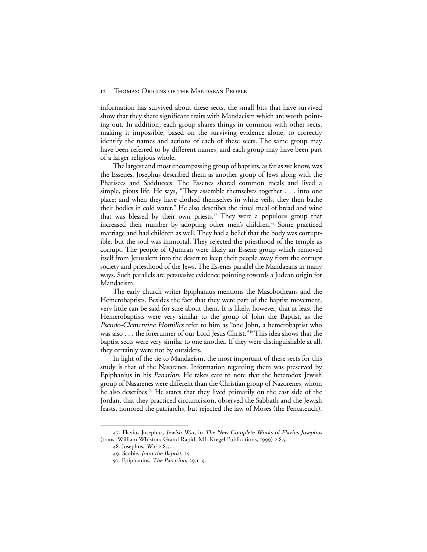information has survived about these sects, the small bits that have survived show that they share significant traits with Mandaeism which are worth pointing out. In addition, each group shares things in common with other sects, making it impossible, based on the surviving evidence alone, to correctly identify the names and actions of each of these sects. The same group may have been referred to by different names, and each group may have been part of a larger religious whole.

The largest and most encompassing group of baptists, as far as we know, was the Essenes. Josephus described them as another group of Jews along with the Pharisees and Sadducees. The Essenes shared common meals and lived a simple, pious life. He says, "They assemble themselves together . . . into one place; and when they have clothed themselves in white veils, they then bathe their bodies in cold water." He also describes the ritual meal of bread and wine that was blessed by their own priests.<sup>47</sup> They were a populous group that increased their number by adopting other men's children.<sup>48</sup> Some practiced marriage and had children as well. They had a belief that the body was corruptible, but the soul was immortal. They rejected the priesthood of the temple as corrupt. The people of Qumran were likely an Essene group which removed itself from Jerusalem into the desert to keep their people away from the corrupt society and priesthood of the Jews. The Essenes parallel the Mandaeans in many ways. Such parallels are persuasive evidence pointing towards a Judean origin for Mandaeism.

The early church writer Epiphanius mentions the Masobotheans and the Hemerobaptists. Besides the fact that they were part of the baptist movement, very little can be said for sure about them. It is likely, however, that at least the Hemerobaptists were very similar to the group of John the Baptist, as the Pseudo-Clementine Homilies refer to him as "one John, a hemerobaptist who was also . . . the forerunner of our Lord Jesus Christ."49 This idea shows that the baptist sects were very similar to one another. If they were distinguishable at all, they certainly were not by outsiders.

In light of the tie to Mandaeism, the most important of these sects for this study is that of the Nasarenes. Information regarding them was preserved by Epiphanius in his Panarion. He takes care to note that the heterodox Jewish group of Nasarenes were different than the Christian group of Nazorenes, whom he also describes.50 He states that they lived primarily on the east side of the Jordan, that they practiced circumcision, observed the Sabbath and the Jewish feasts, honored the patriarchs, but rejected the law of Moses (the Pentateuch).

<sup>47</sup>. Flavius Josephus, Jewish War, in The New Complete Works of Flavius Josephus (trans. William Whiston; Grand Rapid, MI: Kregel Publications, 1999) 2.8.5.

<sup>48</sup>. Josephus, War 2.8.5.

<sup>49</sup>. Scobie, John the Baptist, 35.

<sup>50</sup>. Epiphanius, The Panarion, 29.1–9.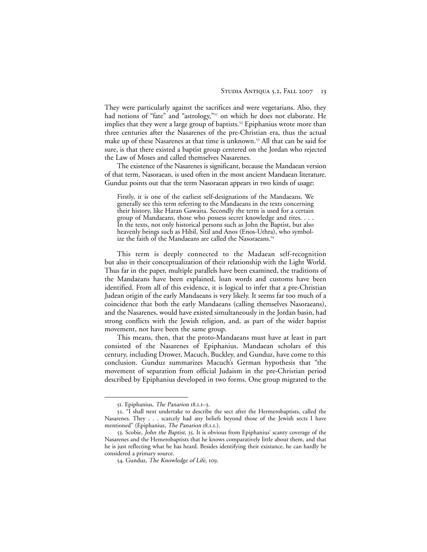They were particularly against the sacrifices and were vegetarians. Also, they had notions of "fate" and "astrology,"<sup>51</sup> on which he does not elaborate. He implies that they were a large group of baptists.<sup>52</sup> Epiphanius wrote more than three centuries after the Nasarenes of the pre-Christian era, thus the actual make up of these Nasarenes at that time is unknown.<sup>53</sup> All that can be said for sure, is that there existed a baptist group centered on the Jordan who rejected the Law of Moses and called themselves Nasarenes.

The existence of the Nasarenes is significant, because the Mandaean version of that term, Nasoraean, is used often in the most ancient Mandaean literature. Gunduz points out that the term Nasoraean appears in two kinds of usage:

Firstly, it is one of the earliest self-designations of the Mandaeans. We generally see this term referring to the Mandaeans in the texts concerning their history, like Haran Gawaita. Secondly the term is used for a certain group of Mandaeans, those who possess secret knowledge and rites. . . . In the texts, not only historical persons such as John the Baptist, but also heavenly beings such as Hibil, Sitil and Anos (Enos-Uthra), who symbolize the faith of the Mandaeans are called the Nasoraeans.<sup>54</sup>

This term is deeply connected to the Madaean self-recognition but also in their conceptualization of their relationship with the Light World. Thus far in the paper, multiple parallels have been examined, the traditions of the Mandaeans have been explained, loan words and customs have been identified. From all of this evidence, it is logical to infer that a pre-Christian Judean origin of the early Mandaeans is very likely. It seems far too much of a coincidence that both the early Mandaeans (calling themselves Nasoraeans), and the Nasarenes, would have existed simultaneously in the Jordan basin, had strong conflicts with the Jewish religion, and, as part of the wider baptist movement, not have been the same group.

This means, then, that the proto-Mandaeans must have at least in part consisted of the Nasarenes of Epiphanius. Mandaean scholars of this century, including Drower, Macuch, Buckley, and Gunduz, have come to this conclusion. Gunduz summarizes Macuch's German hypothesis that "the movement of separation from official Judaism in the pre-Christian period described by Epiphanius developed in two forms. One group migrated to the

<sup>51</sup>. Epiphanius, The Panarion 18.1.1–3.

<sup>52</sup>. "I shall next undertake to describe the sect after the Hermerobaptists, called the Nasarenes. They . . . scarcely had any beliefs beyond those of the Jewish sects I have mentioned" (Epiphanius, The Panarion 18.1.1.).

<sup>53.</sup> Scobie, John the Baptist, 35. It is obvious from Epiphanius' scanty coverage of the Nasarenes and the Hemerobaptists that he knows comparatively little about them, and that he is just reflecting what he has heard. Besides identifying their existance, he can hardly be considered a primary source.

<sup>54</sup>. Gunduz, The Knowledge of Life, 109.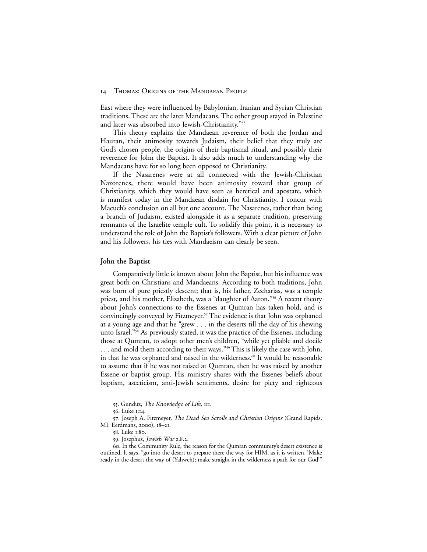East where they were influenced by Babylonian, Iranian and Syrian Christian traditions. These are the later Mandaeans. The other group stayed in Palestine and later was absorbed into Jewish-Christianity."55

This theory explains the Mandaean reverence of both the Jordan and Hauran, their animosity towards Judaism, their belief that they truly are God's chosen people, the origins of their baptismal ritual, and possibly their reverence for John the Baptist. It also adds much to understanding why the Mandaeans have for so long been opposed to Christianity.

If the Nasarenes were at all connected with the Jewish-Christian Nazorenes, there would have been animosity toward that group of Christianity, which they would have seen as heretical and apostate, which is manifest today in the Mandaean disdain for Christianity. I concur with Macuch's conclusion on all but one account. The Nasarenes, rather than being a branch of Judaism, existed alongside it as a separate tradition, preserving remnants of the Israelite temple cult. To solidify this point, it is necessary to understand the role of John the Baptist's followers. With a clear picture of John and his followers, his ties with Mandaeism can clearly be seen.

#### **John the Baptist**

Comparatively little is known about John the Baptist, but his influence was great both on Christians and Mandaeans. According to both traditions, John was born of pure priestly descent; that is, his father, Zecharias, was a temple priest, and his mother, Elizabeth, was a "daughter of Aaron."<sup>56</sup> A recent theory about John's connections to the Essenes at Qumran has taken hold, and is convincingly conveyed by Fitzmeyer.57 The evidence is that John was orphaned at a young age and that he "grew . . . in the deserts till the day of his shewing unto Israel."58 As previously stated, it was the practice of the Essenes, including those at Qumran, to adopt other men's children, "while yet pliable and docile ... and mold them according to their ways."<sup>59</sup> This is likely the case with John, in that he was orphaned and raised in the wilderness.<sup>60</sup> It would be reasonable to assume that if he was not raised at Qumran, then he was raised by another Essene or baptist group. His ministry shares with the Essenes beliefs about baptism, asceticism, anti-Jewish sentiments, desire for piety and righteous

<sup>55</sup>. Gunduz, The Knowledge of Life, 111.

<sup>56</sup>. Luke 1:14.

<sup>57</sup>. Joseph A. Fitzmeyer, The Dead Sea Scrolls and Christian Origins (Grand Rapids, MI: Eerdmans, 2000), 18–21.

<sup>58</sup>. Luke 1:80.

<sup>59</sup>. Josephus, Jewish War 2.8.2.

<sup>60</sup>. In the Community Rule, the reason for the Qumran community's desert existence is outlined. It says, "go into the desert to prepare there the way for HIM, as it is written, 'Make ready in the desert the way of (Yahweh); make straight in the wilderness a path for our God'"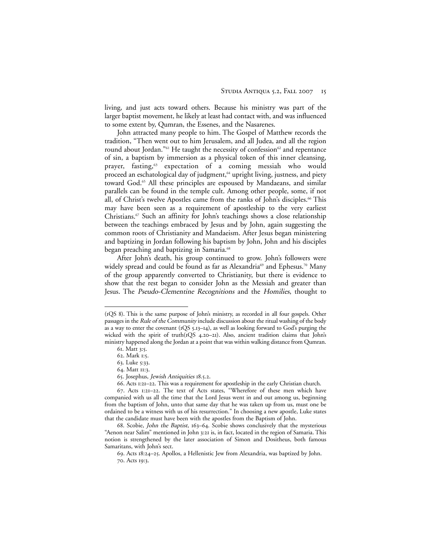living, and just acts toward others. Because his ministry was part of the larger baptist movement, he likely at least had contact with, and was influenced to some extent by, Qumran, the Essenes, and the Nasarenes.

John attracted many people to him. The Gospel of Matthew records the tradition, "Then went out to him Jerusalem, and all Judea, and all the region round about Jordan."<sup>61</sup> He taught the necessity of confession<sup>62</sup> and repentance of sin, a baptism by immersion as a physical token of this inner cleansing, prayer, fasting,<sup>63</sup> expectation of a coming messiah who would proceed an eschatological day of judgment,<sup>64</sup> upright living, justness, and piety toward God.65 All these principles are espoused by Mandaeans, and similar parallels can be found in the temple cult. Among other people, some, if not all, of Christ's twelve Apostles came from the ranks of John's disciples.<sup>66</sup> This may have been seen as a requirement of apostleship to the very earliest Christians.67 Such an affinity for John's teachings shows a close relationship between the teachings embraced by Jesus and by John, again suggesting the common roots of Christianity and Mandaeism. After Jesus began ministering and baptizing in Jordan following his baptism by John, John and his disciples began preaching and baptizing in Samaria.<sup>68</sup>

After John's death, his group continued to grow. John's followers were widely spread and could be found as far as Alexandria<sup>69</sup> and Ephesus.<sup>70</sup> Many of the group apparently converted to Christianity, but there is evidence to show that the rest began to consider John as the Messiah and greater than Jesus. The Pseudo-Clementine Recognitions and the Homilies, thought to

<sup>(</sup>1QS 8). This is the same purpose of John's ministry, as recorded in all four gospels. Other passages in the Rule of the Community include discussion about the ritual washing of the body as a way to enter the covenant (1QS 5.13–14), as well as looking forward to God's purging the wicked with the spirit of truth(1QS 4.20–21). Also, ancient tradition claims that John's ministry happened along the Jordan at a point that was within walking distance from Qumran.

<sup>61.</sup> Matt 3:5.

<sup>62.</sup> Mark 1:5.

<sup>63.</sup> Luke 5:33.

<sup>64.</sup> Matt 11:3.

<sup>65.</sup> Josephus, Jewish Antiquities 18.5.2.

<sup>66.</sup> Acts 1:21–22. This was a requirement for apostleship in the early Christian church.

<sup>67.</sup> Acts 1:21–22. The text of Acts states, "Wherefore of these men which have companied with us all the time that the Lord Jesus went in and out among us, beginning from the baptism of John, unto that same day that he was taken up from us, must one be ordained to be a witness with us of his resurrection." In choosing a new apostle, Luke states that the candidate must have been with the apostles from the Baptism of John.

<sup>68.</sup> Scobie, John the Baptist, 163–64. Scobie shows conclusively that the mysterious "Aenon near Salim" mentioned in John 3:21 is, in fact, located in the region of Samaria. This notion is strengthened by the later association of Simon and Dositheus, both famous Samaritans, with John's sect.

<sup>69.</sup> Acts 18:24–25. Apollos, a Hellenistic Jew from Alexandria, was baptized by John. 70. Acts 19:3.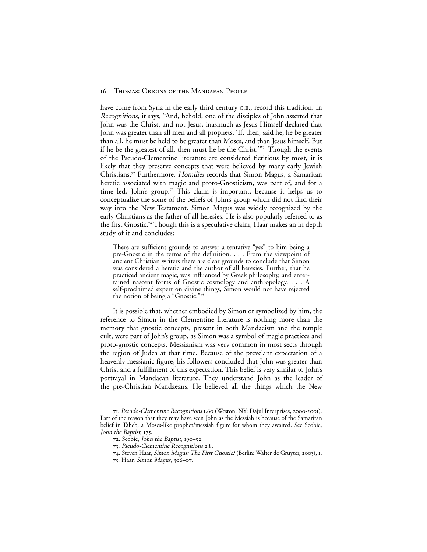have come from Syria in the early third century C.E., record this tradition. In Recognitions, it says, "And, behold, one of the disciples of John asserted that John was the Christ, and not Jesus, inasmuch as Jesus Himself declared that John was greater than all men and all prophets. 'If, then, said he, he be greater than all, he must be held to be greater than Moses, and than Jesus himself. But if he be the greatest of all, then must he be the Christ.'"71 Though the events of the Pseudo-Clementine literature are considered fictitious by most, it is likely that they preserve concepts that were believed by many early Jewish Christians.72 Furthermore, Homilies records that Simon Magus, a Samaritan heretic associated with magic and proto-Gnosticism, was part of, and for a time led, John's group.<sup>73</sup> This claim is important, because it helps us to conceptualize the some of the beliefs of John's group which did not find their way into the New Testament. Simon Magus was widely recognized by the early Christians as the father of all heresies. He is also popularly referred to as the first Gnostic.74 Though this is a speculative claim, Haar makes an in depth study of it and concludes:

There are sufficient grounds to answer a tentative "yes" to him being a pre-Gnostic in the terms of the definition. . . . From the viewpoint of ancient Christian writers there are clear grounds to conclude that Simon was considered a heretic and the author of all heresies. Further, that he practiced ancient magic, was influenced by Greek philosophy, and entertained nascent forms of Gnostic cosmology and anthropology. . . . A self-proclaimed expert on divine things, Simon would not have rejected the notion of being a "Gnostic."75

It is possible that, whether embodied by Simon or symbolized by him, the reference to Simon in the Clementine literature is nothing more than the memory that gnostic concepts, present in both Mandaeism and the temple cult, were part of John's group, as Simon was a symbol of magic practices and proto-gnostic concepts. Messianism was very common in most sects through the region of Judea at that time. Because of the prevelant expectation of a heavenly messianic figure, his followers concluded that John was greater than Christ and a fulfillment of this expectation. This belief is very similar to John's portrayal in Mandaean literature. They understand John as the leader of the pre-Christian Mandaeans. He believed all the things which the New

<sup>71</sup>. Pseudo-Clementine Recognitions 1.60 (Weston, NY: Dajul Interprises, 2000-2001). Part of the reason that they may have seen John as the Messiah is because of the Samaritan belief in Taheb, a Moses-like prophet/messiah figure for whom they awaited. See Scobie, John the Baptist, 175.

<sup>72</sup>. Scobie, John the Baptist, 190–92.

<sup>73</sup>. Pseudo-Clementine Recognitions 2.8.

<sup>74</sup>. Steven Haar, Simon Magus: The First Gnostic? (Berlin: Walter de Gruyter, 2003), 1.

<sup>75</sup>. Haar, Simon Magus, 306–07.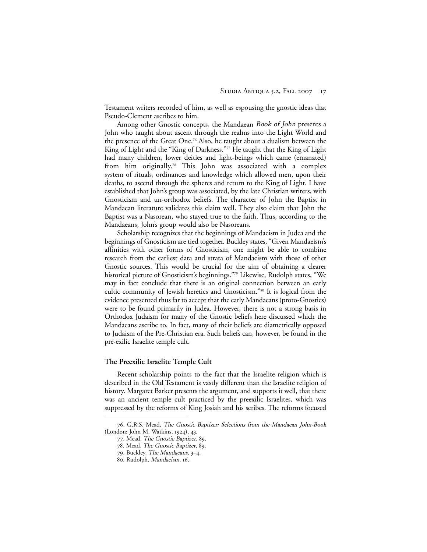Testament writers recorded of him, as well as espousing the gnostic ideas that Pseudo-Clement ascribes to him.

Among other Gnostic concepts, the Mandaean Book of John presents a John who taught about ascent through the realms into the Light World and the presence of the Great One.76 Also, he taught about a dualism between the King of Light and the "King of Darkness."77 He taught that the King of Light had many children, lower deities and light-beings which came (emanated) from him originally.78 This John was associated with a complex system of rituals, ordinances and knowledge which allowed men, upon their deaths, to ascend through the spheres and return to the King of Light. I have established that John's group was associated, by the late Christian writers, with Gnosticism and un-orthodox beliefs. The character of John the Baptist in Mandaean literature validates this claim well. They also claim that John the Baptist was a Nasorean, who stayed true to the faith. Thus, according to the Mandaeans, John's group would also be Nasoreans.

Scholarship recognizes that the beginnings of Mandaeism in Judea and the beginnings of Gnosticism are tied together. Buckley states, "Given Mandaeism's affinities with other forms of Gnosticism, one might be able to combine research from the earliest data and strata of Mandaeism with those of other Gnostic sources. This would be crucial for the aim of obtaining a clearer historical picture of Gnosticism's beginnings."79 Likewise, Rudolph states, "We may in fact conclude that there is an original connection between an early cultic community of Jewish heretics and Gnosticism."80 It is logical from the evidence presented thus far to accept that the early Mandaeans (proto-Gnostics) were to be found primarily in Judea. However, there is not a strong basis in Orthodox Judaism for many of the Gnostic beliefs here discussed which the Mandaeans ascribe to. In fact, many of their beliefs are diametrically opposed to Judaism of the Pre-Christian era. Such beliefs can, however, be found in the pre-exilic Israelite temple cult.

#### **The Preexilic Israelite Temple Cult**

Recent scholarship points to the fact that the Israelite religion which is described in the Old Testament is vastly different than the Israelite religion of history. Margaret Barker presents the argument, and supports it well, that there was an ancient temple cult practiced by the preexilic Israelites, which was suppressed by the reforms of King Josiah and his scribes. The reforms focused

<sup>76.</sup> G.R.S. Mead, The Gnostic Baptizer: Selections from the Mandaean John-Book (London: John M. Watkins, 1924), 43.

<sup>77.</sup> Mead, The Gnostic Baptizer, 89.

<sup>78.</sup> Mead, The Gnostic Baptizer, 89.

<sup>79.</sup> Buckley, The Mandaeans, 3–4.

<sup>80.</sup> Rudolph, Mandaeism, 16.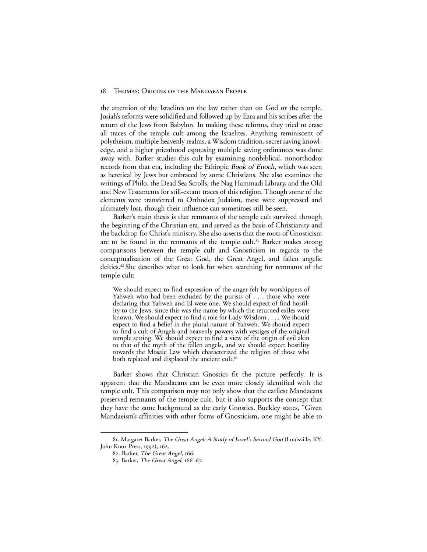the attention of the Israelites on the law rather than on God or the temple. Josiah's reforms were solidified and followed up by Ezra and his scribes after the return of the Jews from Babylon. In making these reforms, they tried to erase all traces of the temple cult among the Israelites. Anything reminiscent of polytheism, multiple heavenly realms, a Wisdom tradition, secret saving knowledge, and a higher priesthood espousing multiple saving ordinances was done away with. Barker studies this cult by examining nonbiblical, nonorthodox records from that era, including the Ethiopic *Book of Enoch*, which was seen as heretical by Jews but embraced by some Christians. She also examines the writings of Philo, the Dead Sea Scrolls, the Nag Hammadi Library, and the Old and New Testaments for still-extant traces of this religion. Though some of the elements were transferred to Orthodox Judaism, most were suppressed and ultimately lost, though their influence can sometimes still be seen.

Barker's main thesis is that remnants of the temple cult survived through the beginning of the Christian era, and served as the basis of Christianity and the backdrop for Christ's ministry. She also asserts that the roots of Gnosticism are to be found in the remnants of the temple cult.<sup>81</sup> Barker makes strong comparisons between the temple cult and Gnosticism in regards to the conceptualization of the Great God, the Great Angel, and fallen angelic deities.82 She describes what to look for when searching for remnants of the temple cult:

We should expect to find expression of the anger felt by worshippers of Yahweh who had been excluded by the purists of . . . those who were declaring that Yahweh and El were one. We should expect of find hostility to the Jews, since this was the name by which the returned exiles were known. We should expect to find a role for Lady Wisdom . . . . We should expect to find a belief in the plural nature of Yahweh. We should expect to find a cult of Angels and heavenly powers with vestiges of the original temple setting. We should expect to find a view of the origin of evil akin to that of the myth of the fallen angels, and we should expect hostility towards the Mosaic Law which characterized the religion of those who both replaced and displaced the ancient cult.<sup>83</sup>

Barker shows that Christian Gnostics fit the picture perfectly. It is apparent that the Mandaeans can be even more closely identified with the temple cult. This comparison may not only show that the earliest Mandaeans preserved remnants of the temple cult, but it also supports the concept that they have the same background as the early Gnostics. Buckley states, "Given Mandaeism's affinities with other forms of Gnosticism, one might be able to

<sup>81</sup>. Margaret Barker, The Great Angel: A Study of Israel's Second God (Louisville, KY: John Knox Press, 1992), 162.

<sup>82</sup>. Barker, The Great Angel, 166.

<sup>83</sup>. Barker, The Great Angel, 166–67.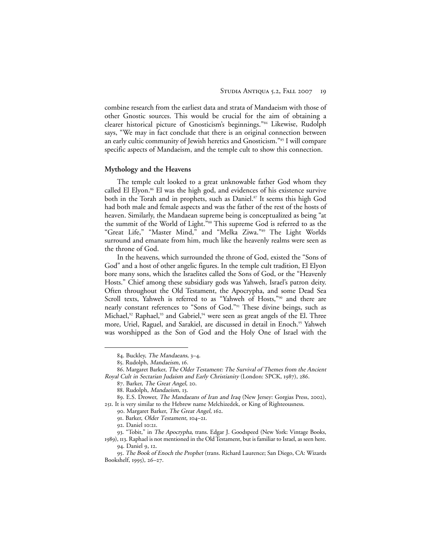combine research from the earliest data and strata of Mandaeism with those of other Gnostic sources. This would be crucial for the aim of obtaining a clearer historical picture of Gnosticism's beginnings."84 Likewise, Rudolph says, "We may in fact conclude that there is an original connection between an early cultic community of Jewish heretics and Gnosticism."85 I will compare specific aspects of Mandaeism, and the temple cult to show this connection.

#### **Mythology and the Heavens**

The temple cult looked to a great unknowable father God whom they called El Elyon.<sup>86</sup> El was the high god, and evidences of his existence survive both in the Torah and in prophets, such as Daniel.<sup>87</sup> It seems this high God had both male and female aspects and was the father of the rest of the hosts of heaven. Similarly, the Mandaean supreme being is conceptualized as being "at the summit of the World of Light.<sup>588</sup> This supreme God is referred to as the "Great Life," "Master Mind," and "Melka Ziwa."89 The Light Worlds surround and emanate from him, much like the heavenly realms were seen as the throne of God.

In the heavens, which surrounded the throne of God, existed the "Sons of God" and a host of other angelic figures. In the temple cult tradition, El Elyon bore many sons, which the Israelites called the Sons of God, or the "Heavenly Hosts." Chief among these subsidiary gods was Yahweh, Israel's patron deity. Often throughout the Old Testament, the Apocrypha, and some Dead Sea Scroll texts, Yahweh is referred to as "Yahweh of Hosts,"<sup>90</sup> and there are nearly constant references to "Sons of God."91 These divine beings, such as Michael,<sup>92</sup> Raphael,<sup>93</sup> and Gabriel,<sup>94</sup> were seen as great angels of the El. Three more, Uriel, Raguel, and Sarakiel, are discussed in detail in Enoch.<sup>95</sup> Yahweh was worshipped as the Son of God and the Holy One of Israel with the

<sup>84</sup>. Buckley, The Mandaeans, 3–4.

<sup>85</sup>. Rudolph, Mandaeism, 16.

<sup>86</sup>. Margaret Barker, The Older Testament: The Survival of Themes from the Ancient Royal Cult in Sectarian Judaism and Early Christianity (London: SPCK, 1987), 286.

<sup>87</sup>. Barker, The Great Angel, 20.

<sup>88.</sup> Rudolph, Mandaeism, 13.

<sup>89</sup>. E.S. Drower, The Mandaeans of Iran and Iraq (New Jersey: Gorgias Press, 2002), 251. It is very similar to the Hebrew name Melchizedek, or King of Righteousness.

<sup>90</sup>. Margaret Barker, The Great Angel, 162.

<sup>91</sup>. Barker, Older Testament, 104–21.

<sup>92</sup>. Daniel 10:21.

<sup>93</sup>. "Tobit," in The Apocrypha, trans. Edgar J. Goodspeed (New York: Vintage Books, 1989), 113. Raphael is not mentioned in the Old Testament, but is familiar to Israel, as seen here.

<sup>94</sup>. Daniel 9, 12.

<sup>95</sup>. The Book of Enoch the Prophet (trans. Richard Laurence; San Diego, CA: Wizards Bookshelf, 1995), 26–27.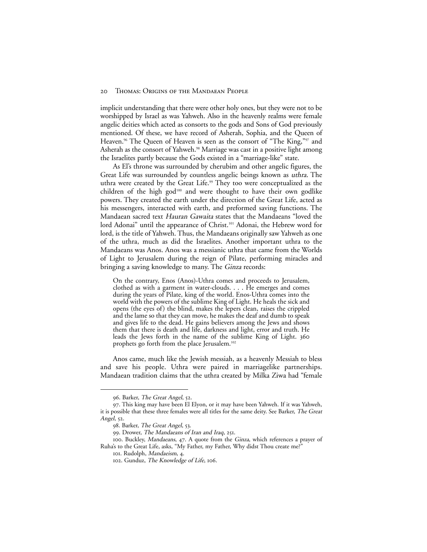implicit understanding that there were other holy ones, but they were not to be worshipped by Israel as was Yahweh. Also in the heavenly realms were female angelic deities which acted as consorts to the gods and Sons of God previously mentioned. Of these, we have record of Asherah, Sophia, and the Queen of Heaven.<sup>96</sup> The Queen of Heaven is seen as the consort of "The King,"<sup>97</sup> and Asherah as the consort of Yahweh.<sup>98</sup> Marriage was cast in a positive light among the Israelites partly because the Gods existed in a "marriage-like" state.

As El's throne was surrounded by cherubim and other angelic figures, the Great Life was surrounded by countless angelic beings known as uthra. The uthra were created by the Great Life.<sup>99</sup> They too were conceptualized as the children of the high god<sup>100</sup> and were thought to have their own godlike powers. They created the earth under the direction of the Great Life, acted as his messengers, interacted with earth, and preformed saving functions. The Mandaean sacred text Hauran Gawaita states that the Mandaeans "loved the lord Adonai" until the appearance of Christ.<sup>101</sup> Adonai, the Hebrew word for lord, is the title of Yahweh. Thus, the Mandaeans originally saw Yahweh as one of the uthra, much as did the Israelites. Another important uthra to the Mandaeans was Anos. Anos was a messianic uthra that came from the Worlds of Light to Jerusalem during the reign of Pilate, performing miracles and bringing a saving knowledge to many. The Ginza records:

On the contrary, Enos (Anos)-Uthra comes and proceeds to Jerusalem, clothed as with a garment in water-clouds. . . . He emerges and comes during the years of Pilate, king of the world. Enos-Uthra comes into the world with the powers of the sublime King of Light. He heals the sick and opens (the eyes of) the blind, makes the lepers clean, raises the crippled and the lame so that they can move, he makes the deaf and dumb to speak and gives life to the dead. He gains believers among the Jews and shows them that there is death and life, darkness and light, error and truth. He leads the Jews forth in the name of the sublime King of Light. 360 prophets go forth from the place Jerusalem.102

Anos came, much like the Jewish messiah, as a heavenly Messiah to bless and save his people. Uthra were paired in marriagelike partnerships. Mandaean tradition claims that the uthra created by Milka Ziwa had "female

<sup>96</sup>. Barker, The Great Angel, 52.

<sup>97</sup>. This king may have been El Elyon, or it may have been Yahweh. If it was Yahweh, it is possible that these three females were all titles for the same deity. See Barker, The Great Angel, 52.

<sup>98</sup>. Barker, The Great Angel, 53.

<sup>99</sup>. Drower, The Mandaeans of Iran and Iraq, 251.

<sup>100</sup>. Buckley, Mandaeans, 47. A quote from the Ginza, which references a prayer of Ruha's to the Great Life, asks, "My Father, my Father, Why didst Thou create me?"

<sup>101</sup>. Rudolph, Mandaeism, 4.

<sup>102</sup>. Gunduz, The Knowledge of Life, 106.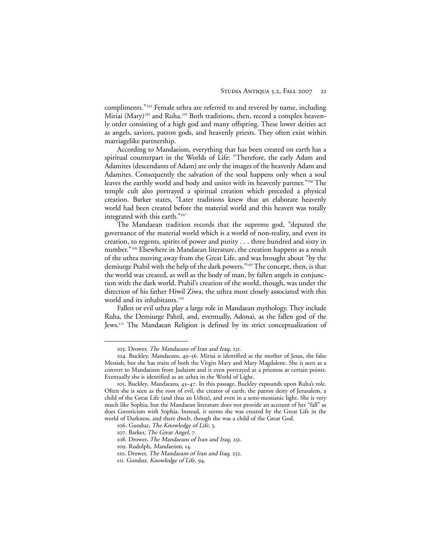compliments."103 Female uthra are referred to and revered by name, including Miriai (Mary)<sup>104</sup> and Ruha.<sup>105</sup> Both traditions, then, record a complex heavenly order consisting of a high god and many offspring. These lower deities act as angels, saviors, patron gods, and heavenly priests. They often exist within marriagelike partnership.

According to Mandaeism, everything that has been created on earth has a spiritual counterpart in the Worlds of Life: "Therefore, the early Adam and Adamites (descendants of Adam) are only the images of the heavenly Adam and Adamites. Consequently the salvation of the soul happens only when a soul leaves the earthly world and body and unites with its heavenly partner."106 The temple cult also portrayed a spiritual creation which preceded a physical creation. Barker states, "Later traditions knew that an elaborate heavenly world had been created before the material world and this heaven was totally integrated with this earth."107

The Mandaean tradition records that the supreme god, "deputed the governance of the material world which is a world of non-reality, and even its creation, to regents, spirits of power and purity . . . three hundred and sixty in number."108 Elsewhere in Mandaean literature, the creation happens as a result of the uthra moving away from the Great Life, and was brought about "by the demiurge Ptahil with the help of the dark powers."109 The concept, then, is that the world was created, as well as the body of man, by fallen angels in conjunction with the dark world. Ptahil's creation of the world, though, was under the direction of his father Hiwil Ziwa, the uthra most closely associated with this world and its inhabitants.<sup>110</sup>

Fallen or evil uthra play a large role in Mandaean mythology. They include Ruha, the Demiurge Pahtil, and, eventually, Adonai, as the fallen god of the Jews.111 The Mandaean Religion is defined by its strict conceptualization of

<sup>103</sup>. Drower, The Mandaeans of Iran and Iraq, 251.

<sup>104</sup>. Buckley, Mandaeans, 49–56. Miriai is identified as the mother of Jesus, the false Messiah, but she has traits of both the Virgin Mary and Mary Magdalene. She is seen as a convert to Mandaeism from Judaism and is even portrayed as a priestess at certain points. Eventually she is identified as an uthra in the World of Light.

<sup>105</sup>. Buckley, Mandaeans, 43–47. In this passage, Buckley expounds upon Ruha's role. Often she is seen as the root of evil, the creator of earth, the patron deity of Jerusalem, a child of the Great Life (and thus an Uthra), and even in a semi-messianic light. She is very much like Sophia, but the Mandaean literature does not provide an account of her "fall" as does Gnosticism with Sophia. Instead, it seems she was created by the Great Life in the world of Darkness, and there dwelt, though she was a child of the Great God.

<sup>106</sup>. Gunduz, The Knowledge of Life, 3.

<sup>107</sup>. Barker, The Great Angel, 7.

<sup>108</sup>. Drower, The Mandaeans of Iran and Iraq, 251.

<sup>109</sup>. Rudolph, Mandaeism, 14.

<sup>110.</sup> Drower, The Mandaeans of Iran and Iraq, 252.

<sup>111</sup>. Gunduz, Knowledge of Life, 94.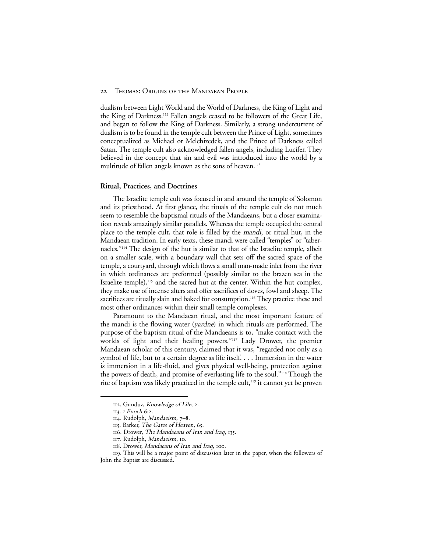dualism between Light World and the World of Darkness, the King of Light and the King of Darkness.112 Fallen angels ceased to be followers of the Great Life, and began to follow the King of Darkness. Similarly, a strong undercurrent of dualism is to be found in the temple cult between the Prince of Light, sometimes conceptualized as Michael or Melchizedek, and the Prince of Darkness called Satan. The temple cult also acknowledged fallen angels, including Lucifer. They believed in the concept that sin and evil was introduced into the world by a multitude of fallen angels known as the sons of heaven.<sup>113</sup>

#### **Ritual, Practices, and Doctrines**

The Israelite temple cult was focused in and around the temple of Solomon and its priesthood. At first glance, the rituals of the temple cult do not much seem to resemble the baptismal rituals of the Mandaeans, but a closer examination reveals amazingly similar parallels. Whereas the temple occupied the central place to the temple cult, that role is filled by the mandi, or ritual hut, in the Mandaean tradition. In early texts, these mandi were called "temples" or "tabernacles."114 The design of the hut is similar to that of the Israelite temple, albeit on a smaller scale, with a boundary wall that sets off the sacred space of the temple, a courtyard, through which flows a small man-made inlet from the river in which ordinances are preformed (possibly similar to the brazen sea in the Israelite temple),<sup>115</sup> and the sacred hut at the center. Within the hut complex, they make use of incense alters and offer sacrifices of doves, fowl and sheep. The sacrifices are ritually slain and baked for consumption.<sup>116</sup> They practice these and most other ordinances within their small temple complexes.

Paramount to the Mandaean ritual, and the most important feature of the mandi is the flowing water (yardne) in which rituals are performed. The purpose of the baptism ritual of the Mandaeans is to, "make contact with the worlds of light and their healing powers."<sup>117</sup> Lady Drower, the premier Mandaean scholar of this century, claimed that it was, "regarded not only as a symbol of life, but to a certain degree as life itself. . . . Immersion in the water is immersion in a life-fluid, and gives physical well-being, protection against the powers of death, and promise of everlasting life to the soul."118 Though the rite of baptism was likely practiced in the temple cult,<sup>119</sup> it cannot yet be proven

<sup>112</sup>. Gunduz, Knowledge of Life, 2.

<sup>113</sup>. <sup>1</sup> Enoch 6:2.

<sup>114</sup>. Rudolph, Mandaeism, 7–8.

<sup>115</sup>. Barker, The Gates of Heaven, 65.

<sup>116</sup>. Drower, The Mandaeans of Iran and Iraq, 135.

<sup>117</sup>. Rudolph, Mandaeism, 10.

<sup>118.</sup> Drower, Mandaeans of Iran and Iraq, 100.

<sup>119</sup>. This will be a major point of discussion later in the paper, when the followers of John the Baptist are discussed.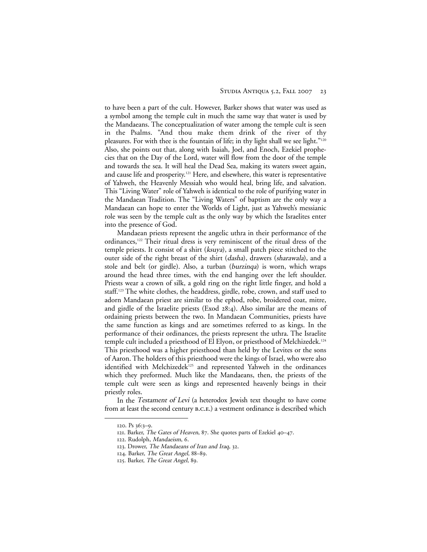to have been a part of the cult. However, Barker shows that water was used as a symbol among the temple cult in much the same way that water is used by the Mandaeans. The conceptualization of water among the temple cult is seen in the Psalms. "And thou make them drink of the river of thy pleasures. For with thee is the fountain of life; in thy light shall we see light."120 Also, she points out that, along with Isaiah, Joel, and Enoch, Ezekiel prophecies that on the Day of the Lord, water will flow from the door of the temple and towards the sea. It will heal the Dead Sea, making its waters sweet again, and cause life and prosperity.121 Here, and elsewhere, this water is representative of Yahweh, the Heavenly Messiah who would heal, bring life, and salvation. This "Living Water" role of Yahweh is identical to the role of purifying water in the Mandaean Tradition. The "Living Waters" of baptism are the only way a Mandaean can hope to enter the Worlds of Light, just as Yahweh's messianic role was seen by the temple cult as the only way by which the Israelites enter into the presence of God.

Mandaean priests represent the angelic uthra in their performance of the ordinances,122 Their ritual dress is very reminiscent of the ritual dress of the temple priests. It consist of a shirt (ksuya), a small patch piece stitched to the outer side of the right breast of the shirt (dasha), drawers (sharawala), and a stole and belt (or girdle). Also, a turban (burzinqa) is worn, which wraps around the head three times, with the end hanging over the left shoulder. Priests wear a crown of silk, a gold ring on the right little finger, and hold a staff.123 The white clothes, the headdress, girdle, robe, crown, and staff used to adorn Mandaean priest are similar to the ephod, robe, broidered coat, mitre, and girdle of the Israelite priests (Exod 28:4). Also similar are the means of ordaining priests between the two. In Mandaean Communities, priests have the same function as kings and are sometimes referred to as kings. In the performance of their ordinances, the priests represent the uthra. The Israelite temple cult included a priesthood of El Elyon, or priesthood of Melchizedek.124 This priesthood was a higher priesthood than held by the Levites or the sons of Aaron. The holders of this priesthood were the kings of Israel, who were also identified with Melchizedek<sup>125</sup> and represented Yahweh in the ordinances which they preformed. Much like the Mandaeans, then, the priests of the temple cult were seen as kings and represented heavenly beings in their priestly roles.

In the *Testament of Levi* (a heterodox Jewish text thought to have come from at least the second century b.c.e.) a vestment ordinance is described which

<sup>120</sup>. Ps 36:3–9.

<sup>121</sup>. Barker, The Gates of Heaven, 87. She quotes parts of Ezekiel 40–47.

<sup>122</sup>. Rudolph, Mandaeism, 6.

<sup>123</sup>. Drower, The Mandaeans of Iran and Iraq, 32.

<sup>124</sup>. Barker, The Great Angel, 88–89.

<sup>125</sup>. Barker, The Great Angel, 89.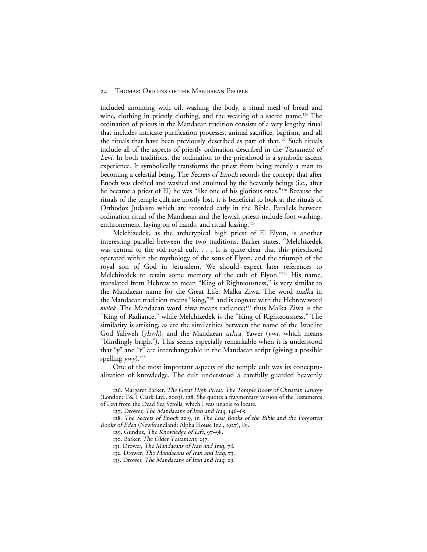included anointing with oil, washing the body, a ritual meal of bread and wine, clothing in priestly clothing, and the wearing of a sacred name.<sup>126</sup> The ordination of priests in the Mandaean tradition consists of a very lengthy ritual that includes intricate purification processes, animal sacrifice, baptism, and all the rituals that have been previously described as part of that.<sup>127</sup> Such rituals include all of the aspects of priestly ordination described in the Testament of Levi. In both traditions, the ordination to the priesthood is a symbolic ascent experience. It symbolically transforms the priest from being merely a man to becoming a celestial being. The Secrets of Enoch records the concept that after Enoch was clothed and washed and anointed by the heavenly beings (i.e., after he became a priest of El) he was "like one of his glorious ones."128 Because the rituals of the temple cult are mostly lost, it is beneficial to look at the rituals of Orthodox Judaism which are recorded early in the Bible. Parallels between ordination ritual of the Mandaean and the Jewish priests include foot washing, enthronement, laying on of hands, and ritual kissing.<sup>129</sup>

Melchizedek, as the archetypical high priest of El Elyon, is another interesting parallel between the two traditions. Barker states, "Melchizedek was central to the old royal cult. . . . It is quite clear that this priesthood operated within the mythology of the sons of Elyon, and the triumph of the royal son of God in Jerusalem. We should expect later references to Melchizedek to retain some memory of the cult of Elyon."130 His name, translated from Hebrew to mean "King of Righteousness," is very similar to the Mandaean name for the Great Life, Malka Ziwa. The word malka in the Mandaean tradition means "king,"131 and is cognate with the Hebrew word *melek*. The Mandaean word ziwa means radiance;<sup>132</sup> thus Malka Ziwa is the "King of Radiance," while Melchizedek is the "King of Righteousness." The similarity is striking, as are the similarities between the name of the Israelite God Yahweh (yhwh), and the Mandaean uthra, Yawer (ywr, which means "blindingly bright"). This seems especially remarkable when it is understood that "y" and "r" are interchangeable in the Mandaean script (giving a possible spelling  $vwv$ ).<sup>133</sup>

One of the most important aspects of the temple cult was its conceptualization of knowledge. The cult understood a carefully guarded heavenly

<sup>126</sup>. Margaret Barker, The Great High Priest: The Temple Roots of Christian Liturgy (London: T&T Clark Ltd., 2003), 128. She quotes a fragmentary version of the Testaments of Levi from the Dead Sea Scrolls, which I was unable to locate.

<sup>127</sup>. Drower, The Mandaeans of Iran and Iraq, 146–65.

<sup>128.</sup> The Secrets of Enoch 22:9, in The Lost Books of the Bible and the Forgotten Books of Eden (Newfoundland: Alpha House Inc., 1927), 89.

<sup>129</sup>. Gunduz, The Knowledge of Life, 97–98.

<sup>130</sup>. Barker, The Older Testament, 257.

<sup>131</sup>. Drower, The Mandaeans of Iran and Iraq, 78.

<sup>132</sup>. Drower, The Mandaeans of Iran and Iraq, 73.

<sup>133</sup>. Drower, The Mandaeans of Iran and Iraq, 29.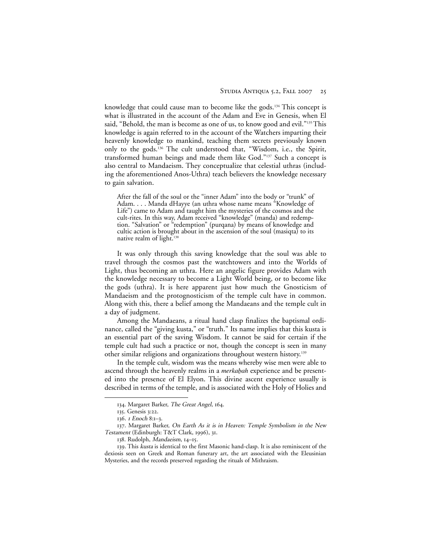knowledge that could cause man to become like the gods.<sup>134</sup> This concept is what is illustrated in the account of the Adam and Eve in Genesis, when El said, "Behold, the man is become as one of us, to know good and evil."<sup>135</sup> This knowledge is again referred to in the account of the Watchers imparting their heavenly knowledge to mankind, teaching them secrets previously known only to the gods.136 The cult understood that, "Wisdom, i.e., the Spirit, transformed human beings and made them like God."137 Such a concept is also central to Mandaeism. They conceptualize that celestial uthras (including the aforementioned Anos-Uthra) teach believers the knowledge necessary to gain salvation.

After the fall of the soul or the "inner Adam" into the body or "trunk" of Adam. . . . Manda dHayye (an uthra whose name means "Knowledge of Life") came to Adam and taught him the mysteries of the cosmos and the cult-rites. In this way, Adam received "knowledge" (manda) and redemption. "Salvation" or "redemption" (purqana) by means of knowledge and cultic action is brought about in the ascension of the soul (masiqta) to its native realm of light.<sup>138</sup>

It was only through this saving knowledge that the soul was able to travel through the cosmos past the watchtowers and into the Worlds of Light, thus becoming an uthra. Here an angelic figure provides Adam with the knowledge necessary to become a Light World being, or to become like the gods (uthra). It is here apparent just how much the Gnosticism of Mandaeism and the protognosticism of the temple cult have in common. Along with this, there a belief among the Mandaeans and the temple cult in a day of judgment.

Among the Mandaeans, a ritual hand clasp finalizes the baptismal ordinance, called the "giving kusta," or "truth." Its name implies that this kusta is an essential part of the saving Wisdom. It cannot be said for certain if the temple cult had such a practice or not, though the concept is seen in many other similar religions and organizations throughout western history.139

In the temple cult, wisdom was the means whereby wise men were able to ascend through the heavenly realms in a *merkabah* experience and be presented into the presence of El Elyon. This divine ascent experience usually is described in terms of the temple, and is associated with the Holy of Holies and

<sup>134</sup>. Margaret Barker, The Great Angel, 164.

<sup>135</sup>. Genesis 3:22.

<sup>136</sup>. <sup>1</sup> Enoch 8:1–3.

<sup>137.</sup> Margaret Barker, On Earth As it is in Heaven: Temple Symbolism in the New Testament (Edinburgh: T&T Clark, 1996), 31.

<sup>138</sup>. Rudolph, Mandaeism, 14–15.

<sup>139</sup>. This kusta is identical to the first Masonic hand-clasp. It is also reminiscent of the dexiosis seen on Greek and Roman funerary art, the art associated with the Eleusinian Mysteries, and the records preserved regarding the rituals of Mithraism.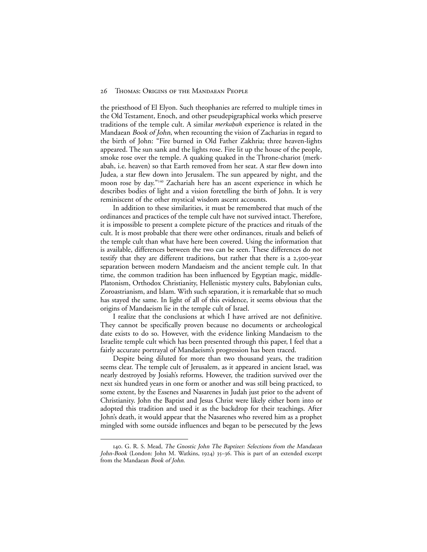the priesthood of El Elyon. Such theophanies are referred to multiple times in the Old Testament, Enoch, and other pseudepigraphical works which preserve traditions of the temple cult. A similar *merkabah* experience is related in the Mandaean Book of John, when recounting the vision of Zacharias in regard to the birth of John: "Fire burned in Old Father Zakhria; three heaven-lights appeared. The sun sank and the lights rose. Fire lit up the house of the people, smoke rose over the temple. A quaking quaked in the Throne-chariot (merkabah, i.e. heaven) so that Earth removed from her seat. A star flew down into Judea, a star flew down into Jerusalem. The sun appeared by night, and the moon rose by day."140 Zachariah here has an ascent experience in which he describes bodies of light and a vision foretelling the birth of John. It is very reminiscent of the other mystical wisdom ascent accounts.

In addition to these similarities, it must be remembered that much of the ordinances and practices of the temple cult have not survived intact. Therefore, it is impossible to present a complete picture of the practices and rituals of the cult. It is most probable that there were other ordinances, rituals and beliefs of the temple cult than what have here been covered. Using the information that is available, differences between the two can be seen. These differences do not testify that they are different traditions, but rather that there is a 2,500-year separation between modern Mandaeism and the ancient temple cult. In that time, the common tradition has been influenced by Egyptian magic, middle-Platonism, Orthodox Christianity, Hellenistic mystery cults, Babylonian cults, Zoroastrianism, and Islam. With such separation, it is remarkable that so much has stayed the same. In light of all of this evidence, it seems obvious that the origins of Mandaeism lie in the temple cult of Israel.

I realize that the conclusions at which I have arrived are not definitive. They cannot be specifically proven because no documents or archeological date exists to do so. However, with the evidence linking Mandaeism to the Israelite temple cult which has been presented through this paper, I feel that a fairly accurate portrayal of Mandaeism's progression has been traced.

Despite being diluted for more than two thousand years, the tradition seems clear. The temple cult of Jerusalem, as it appeared in ancient Israel, was nearly destroyed by Josiah's reforms. However, the tradition survived over the next six hundred years in one form or another and was still being practiced, to some extent, by the Essenes and Nasarenes in Judah just prior to the advent of Christianity. John the Baptist and Jesus Christ were likely either born into or adopted this tradition and used it as the backdrop for their teachings. After John's death, it would appear that the Nasarenes who revered him as a prophet mingled with some outside influences and began to be persecuted by the Jews

<sup>140</sup>. G. R. S. Mead, The Gnostic John The Baptizer: Selections from the Mandaean John-Book (London: John M. Watkins, 1924) 35–36. This is part of an extended excerpt from the Mandaean Book of John.